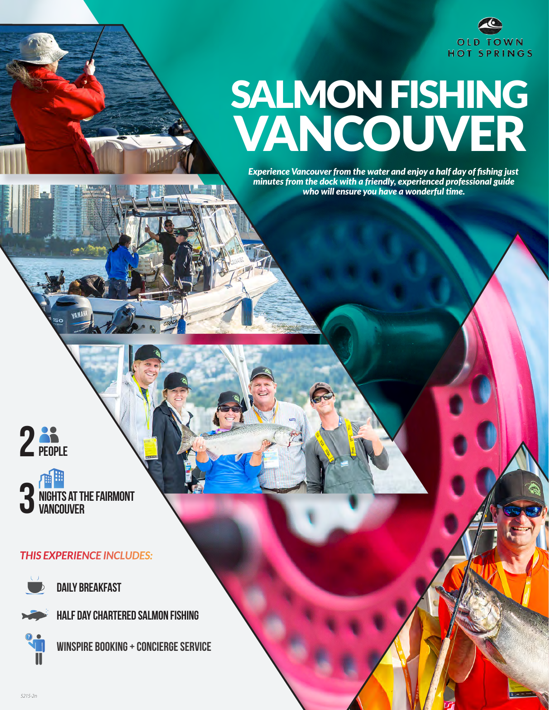

# SALMON FISHING VANCOUVER

*Experience Vancouver from the water and enjoy a half day of fishing just minutes from the dock with a friendly, experienced professional guide who will ensure you have a wonderful time.*



**nights at the Fairmont Vancouver**

### *THIS EXPERIENCE INCLUDES:*



**Daily breakfast**

**Half Day Chartered Salmon Fishing**

**Winspire Booking + concierge service**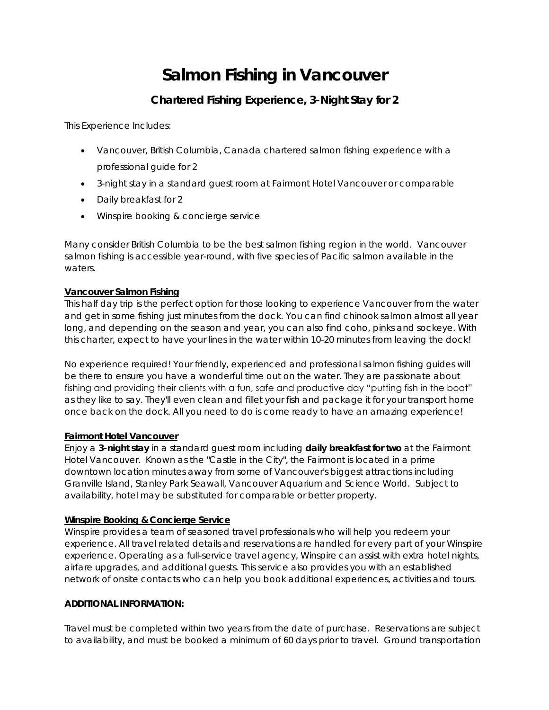# **Salmon Fishing in Vancouver**

## **Chartered Fishing Experience, 3-Night Stay for 2**

This Experience Includes:

- Vancouver, British Columbia, Canada chartered salmon fishing experience with a professional guide for 2
- 3-night stay in a standard guest room at Fairmont Hotel Vancouver or comparable
- Daily breakfast for 2
- Winspire booking & concierge service

Many consider British Columbia to be the best salmon fishing region in the world. Vancouver salmon fishing is accessible year-round, with five species of Pacific salmon available in the waters.

#### **Vancouver Salmon Fishing**

This half day trip is the perfect option for those looking to experience Vancouver from the water and get in some fishing just minutes from the dock. You can find chinook salmon almost all year long, and depending on the season and year, you can also find coho, pinks and sockeye. With this charter, expect to have your lines in the water within 10-20 minutes from leaving the dock!

No experience required! Your friendly, experienced and professional salmon fishing guides will be there to ensure you have a wonderful time out on the water. They are passionate about fishing and providing their clients with a fun, safe and productive day "putting fish in the boat" as they like to say. They'll even clean and fillet your fish and package it for your transport home once back on the dock. All you need to do is come ready to have an amazing experience!

#### **Fairmont Hotel Vancouver**

Enjoy a **3-night stay** in a standard guest room including **daily breakfast for two** at the Fairmont Hotel Vancouver. Known as the "Castle in the City", the Fairmont is located in a prime downtown location minutes away from some of Vancouver's biggest attractions including Granville Island, Stanley Park Seawall, Vancouver Aquarium and Science World. Subject to availability, hotel may be substituted for comparable or better property.

#### **Winspire Booking & Concierge Service**

Winspire provides a team of seasoned travel professionals who will help you redeem your experience. All travel related details and reservations are handled for every part of your Winspire experience. Operating as a full-service travel agency, Winspire can assist with extra hotel nights, airfare upgrades, and additional guests. This service also provides you with an established network of onsite contacts who can help you book additional experiences, activities and tours.

#### **ADDITIONAL INFORMATION:**

Travel must be completed within two years from the date of purchase. Reservations are subject to availability, and must be booked a minimum of 60 days prior to travel. Ground transportation